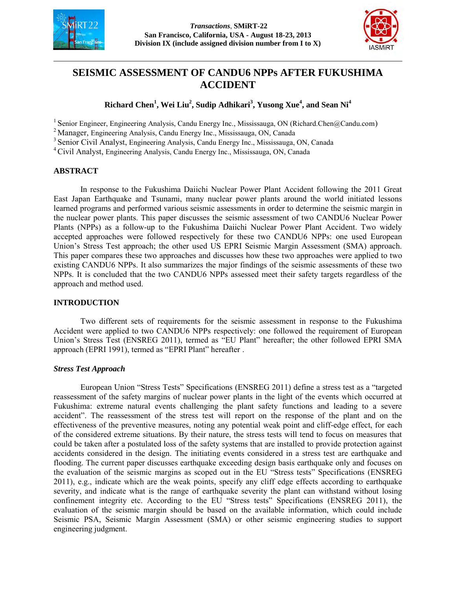



# **SEISMIC ASSESSMENT OF CANDU6 NPPs AFTER FUKUSHIMA ACCIDENT**

# **Richard Chen<sup>1</sup> , Wei Liu<sup>2</sup> , Sudip Adhikari<sup>3</sup> , Yusong Xue<sup>4</sup> , and Sean Ni<sup>4</sup>**

<sup>1</sup> Senior Engineer, Engineering Analysis, Candu Energy Inc., Mississauga, ON (Richard.Chen@Candu.com)

<sup>2</sup> Manager, Engineering Analysis, Candu Energy Inc., Mississauga, ON, Canada

<sup>3</sup> Senior Civil Analyst, Engineering Analysis, Candu Energy Inc., Mississauga, ON, Canada

<sup>4</sup>Civil Analyst, Engineering Analysis, Candu Energy Inc., Mississauga, ON, Canada

### **ABSTRACT**

In response to the Fukushima Daiichi Nuclear Power Plant Accident following the 2011 Great East Japan Earthquake and Tsunami, many nuclear power plants around the world initiated lessons learned programs and performed various seismic assessments in order to determine the seismic margin in the nuclear power plants. This paper discusses the seismic assessment of two CANDU6 Nuclear Power Plants (NPPs) as a follow-up to the Fukushima Daiichi Nuclear Power Plant Accident. Two widely accepted approaches were followed respectively for these two CANDU6 NPPs: one used European Union's Stress Test approach; the other used US EPRI Seismic Margin Assessment (SMA) approach. This paper compares these two approaches and discusses how these two approaches were applied to two existing CANDU6 NPPs. It also summarizes the major findings of the seismic assessments of these two NPPs. It is concluded that the two CANDU6 NPPs assessed meet their safety targets regardless of the approach and method used.

# **INTRODUCTION**

Two different sets of requirements for the seismic assessment in response to the Fukushima Accident were applied to two CANDU6 NPPs respectively: one followed the requirement of European Union's Stress Test (ENSREG 2011), termed as "EU Plant" hereafter; the other followed EPRI SMA approach (EPRI 1991), termed as "EPRI Plant" hereafter .

# *Stress Test Approach*

European Union "Stress Tests" Specifications (ENSREG 2011) define a stress test as a "targeted reassessment of the safety margins of nuclear power plants in the light of the events which occurred at Fukushima: extreme natural events challenging the plant safety functions and leading to a severe accident". The reassessment of the stress test will report on the response of the plant and on the effectiveness of the preventive measures, noting any potential weak point and cliff-edge effect, for each of the considered extreme situations. By their nature, the stress tests will tend to focus on measures that could be taken after a postulated loss of the safety systems that are installed to provide protection against accidents considered in the design. The initiating events considered in a stress test are earthquake and flooding. The current paper discusses earthquake exceeding design basis earthquake only and focuses on the evaluation of the seismic margins as scoped out in the EU "Stress tests" Specifications (ENSREG 2011), e.g., indicate which are the weak points, specify any cliff edge effects according to earthquake severity, and indicate what is the range of earthquake severity the plant can withstand without losing confinement integrity etc. According to the EU "Stress tests" Specifications (ENSREG 2011), the evaluation of the seismic margin should be based on the available information, which could include Seismic PSA, Seismic Margin Assessment (SMA) or other seismic engineering studies to support engineering judgment.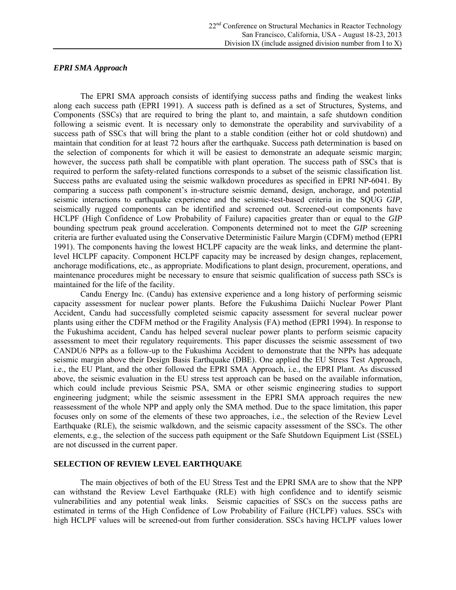#### *EPRI SMA Approach*

The EPRI SMA approach consists of identifying success paths and finding the weakest links along each success path (EPRI 1991). A success path is defined as a set of Structures, Systems, and Components (SSCs) that are required to bring the plant to, and maintain, a safe shutdown condition following a seismic event. It is necessary only to demonstrate the operability and survivability of a success path of SSCs that will bring the plant to a stable condition (either hot or cold shutdown) and maintain that condition for at least 72 hours after the earthquake. Success path determination is based on the selection of components for which it will be easiest to demonstrate an adequate seismic margin; however, the success path shall be compatible with plant operation. The success path of SSCs that is required to perform the safety-related functions corresponds to a subset of the seismic classification list. Success paths are evaluated using the seismic walkdown procedures as specified in EPRI NP-6041. By comparing a success path component's in-structure seismic demand, design, anchorage, and potential seismic interactions to earthquake experience and the seismic-test-based criteria in the SQUG *GIP*, seismically rugged components can be identified and screened out. Screened-out components have HCLPF (High Confidence of Low Probability of Failure) capacities greater than or equal to the *GIP*  bounding spectrum peak ground acceleration. Components determined not to meet the *GIP* screening criteria are further evaluated using the Conservative Deterministic Failure Margin (CDFM) method (EPRI 1991). The components having the lowest HCLPF capacity are the weak links, and determine the plantlevel HCLPF capacity. Component HCLPF capacity may be increased by design changes, replacement, anchorage modifications, etc., as appropriate. Modifications to plant design, procurement, operations, and maintenance procedures might be necessary to ensure that seismic qualification of success path SSCs is maintained for the life of the facility.

Candu Energy Inc. (Candu) has extensive experience and a long history of performing seismic capacity assessment for nuclear power plants. Before the Fukushima Daiichi Nuclear Power Plant Accident, Candu had successfully completed seismic capacity assessment for several nuclear power plants using either the CDFM method or the Fragility Analysis (FA) method (EPRI 1994). In response to the Fukushima accident, Candu has helped several nuclear power plants to perform seismic capacity assessment to meet their regulatory requirements. This paper discusses the seismic assessment of two CANDU6 NPPs as a follow-up to the Fukushima Accident to demonstrate that the NPPs has adequate seismic margin above their Design Basis Earthquake (DBE). One applied the EU Stress Test Approach, i.e., the EU Plant, and the other followed the EPRI SMA Approach, i.e., the EPRI Plant. As discussed above, the seismic evaluation in the EU stress test approach can be based on the available information, which could include previous Seismic PSA, SMA or other seismic engineering studies to support engineering judgment; while the seismic assessment in the EPRI SMA approach requires the new reassessment of the whole NPP and apply only the SMA method. Due to the space limitation, this paper focuses only on some of the elements of these two approaches, i.e., the selection of the Review Level Earthquake (RLE), the seismic walkdown, and the seismic capacity assessment of the SSCs. The other elements, e.g., the selection of the success path equipment or the Safe Shutdown Equipment List (SSEL) are not discussed in the current paper.

### **SELECTION OF REVIEW LEVEL EARTHQUAKE**

The main objectives of both of the EU Stress Test and the EPRI SMA are to show that the NPP can withstand the Review Level Earthquake (RLE) with high confidence and to identify seismic vulnerabilities and any potential weak links. Seismic capacities of SSCs on the success paths are estimated in terms of the High Confidence of Low Probability of Failure (HCLPF) values. SSCs with high HCLPF values will be screened-out from further consideration. SSCs having HCLPF values lower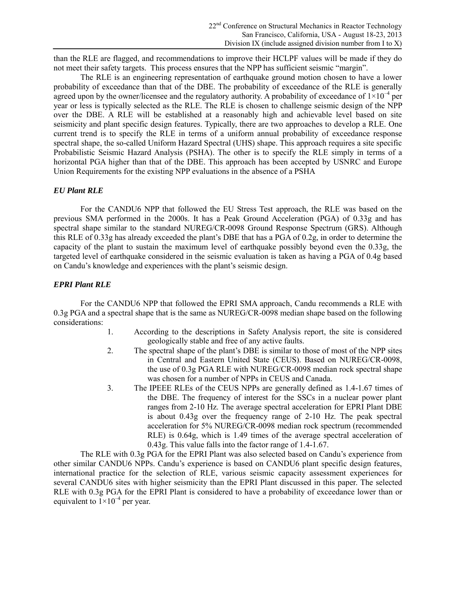than the RLE are flagged, and recommendations to improve their HCLPF values will be made if they do not meet their safety targets. This process ensures that the NPP has sufficient seismic "margin".

The RLE is an engineering representation of earthquake ground motion chosen to have a lower probability of exceedance than that of the DBE. The probability of exceedance of the RLE is generally agreed upon by the owner/licensee and the regulatory authority. A probability of exceedance of  $1\times10^{-4}$  per year or less is typically selected as the RLE. The RLE is chosen to challenge seismic design of the NPP over the DBE. A RLE will be established at a reasonably high and achievable level based on site seismicity and plant specific design features. Typically, there are two approaches to develop a RLE. One current trend is to specify the RLE in terms of a uniform annual probability of exceedance response spectral shape, the so-called Uniform Hazard Spectral (UHS) shape. This approach requires a site specific Probabilistic Seismic Hazard Analysis (PSHA). The other is to specify the RLE simply in terms of a horizontal PGA higher than that of the DBE. This approach has been accepted by USNRC and Europe Union Requirements for the existing NPP evaluations in the absence of a PSHA

# *EU Plant RLE*

For the CANDU6 NPP that followed the EU Stress Test approach, the RLE was based on the previous SMA performed in the 2000s. It has a Peak Ground Acceleration (PGA) of 0.33g and has spectral shape similar to the standard NUREG/CR-0098 Ground Response Spectrum (GRS). Although this RLE of 0.33g has already exceeded the plant's DBE that has a PGA of 0.2g, in order to determine the capacity of the plant to sustain the maximum level of earthquake possibly beyond even the 0.33g, the targeted level of earthquake considered in the seismic evaluation is taken as having a PGA of 0.4g based on Candu's knowledge and experiences with the plant's seismic design.

# *EPRI Plant RLE*

For the CANDU6 NPP that followed the EPRI SMA approach, Candu recommends a RLE with 0.3g PGA and a spectral shape that is the same as NUREG/CR-0098 median shape based on the following considerations:

- 1. According to the descriptions in Safety Analysis report, the site is considered geologically stable and free of any active faults.
- 2. The spectral shape of the plant's DBE is similar to those of most of the NPP sites in Central and Eastern United State (CEUS). Based on NUREG/CR-0098, the use of 0.3g PGA RLE with NUREG/CR-0098 median rock spectral shape was chosen for a number of NPPs in CEUS and Canada.
- 3. The IPEEE RLEs of the CEUS NPPs are generally defined as 1.4-1.67 times of the DBE. The frequency of interest for the SSCs in a nuclear power plant ranges from 2-10 Hz. The average spectral acceleration for EPRI Plant DBE is about 0.43g over the frequency range of 2-10 Hz. The peak spectral acceleration for 5% NUREG/CR-0098 median rock spectrum (recommended RLE) is 0.64g, which is 1.49 times of the average spectral acceleration of 0.43g. This value falls into the factor range of 1.4-1.67.

The RLE with 0.3g PGA for the EPRI Plant was also selected based on Candu's experience from other similar CANDU6 NPPs. Candu's experience is based on CANDU6 plant specific design features, international practice for the selection of RLE, various seismic capacity assessment experiences for several CANDU6 sites with higher seismicity than the EPRI Plant discussed in this paper. The selected RLE with 0.3g PGA for the EPRI Plant is considered to have a probability of exceedance lower than or equivalent to  $1 \times 10^{-4}$  per year.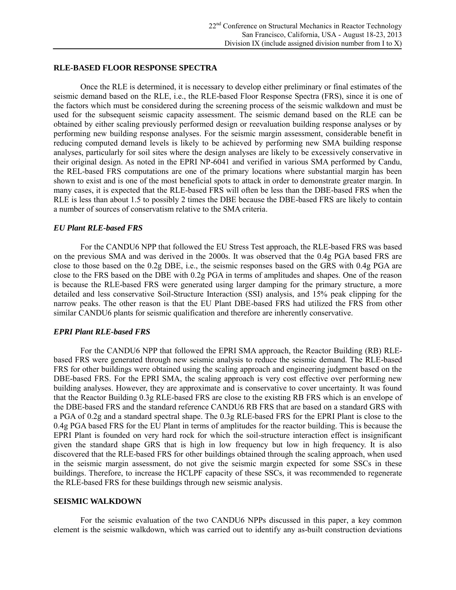#### **RLE-BASED FLOOR RESPONSE SPECTRA**

Once the RLE is determined, it is necessary to develop either preliminary or final estimates of the seismic demand based on the RLE, i.e., the RLE-based Floor Response Spectra (FRS), since it is one of the factors which must be considered during the screening process of the seismic walkdown and must be used for the subsequent seismic capacity assessment. The seismic demand based on the RLE can be obtained by either scaling previously performed design or reevaluation building response analyses or by performing new building response analyses. For the seismic margin assessment, considerable benefit in reducing computed demand levels is likely to be achieved by performing new SMA building response analyses, particularly for soil sites where the design analyses are likely to be excessively conservative in their original design. As noted in the EPRI NP-6041 and verified in various SMA performed by Candu, the REL-based FRS computations are one of the primary locations where substantial margin has been shown to exist and is one of the most beneficial spots to attack in order to demonstrate greater margin. In many cases, it is expected that the RLE-based FRS will often be less than the DBE-based FRS when the RLE is less than about 1.5 to possibly 2 times the DBE because the DBE-based FRS are likely to contain a number of sources of conservatism relative to the SMA criteria.

#### *EU Plant RLE-based FRS*

For the CANDU6 NPP that followed the EU Stress Test approach, the RLE-based FRS was based on the previous SMA and was derived in the 2000s. It was observed that the 0.4g PGA based FRS are close to those based on the 0.2g DBE, i.e., the seismic responses based on the GRS with 0.4g PGA are close to the FRS based on the DBE with 0.2g PGA in terms of amplitudes and shapes. One of the reason is because the RLE-based FRS were generated using larger damping for the primary structure, a more detailed and less conservative Soil-Structure Interaction (SSI) analysis, and 15% peak clipping for the narrow peaks. The other reason is that the EU Plant DBE-based FRS had utilized the FRS from other similar CANDU6 plants for seismic qualification and therefore are inherently conservative.

#### *EPRI Plant RLE-based FRS*

For the CANDU6 NPP that followed the EPRI SMA approach, the Reactor Building (RB) RLEbased FRS were generated through new seismic analysis to reduce the seismic demand. The RLE-based FRS for other buildings were obtained using the scaling approach and engineering judgment based on the DBE-based FRS. For the EPRI SMA, the scaling approach is very cost effective over performing new building analyses. However, they are approximate and is conservative to cover uncertainty. It was found that the Reactor Building 0.3g RLE-based FRS are close to the existing RB FRS which is an envelope of the DBE-based FRS and the standard reference CANDU6 RB FRS that are based on a standard GRS with a PGA of 0.2g and a standard spectral shape. The 0.3g RLE-based FRS for the EPRI Plant is close to the 0.4g PGA based FRS for the EU Plant in terms of amplitudes for the reactor building. This is because the EPRI Plant is founded on very hard rock for which the soil-structure interaction effect is insignificant given the standard shape GRS that is high in low frequency but low in high frequency. It is also discovered that the RLE-based FRS for other buildings obtained through the scaling approach, when used in the seismic margin assessment, do not give the seismic margin expected for some SSCs in these buildings. Therefore, to increase the HCLPF capacity of these SSCs, it was recommended to regenerate the RLE-based FRS for these buildings through new seismic analysis.

#### **SEISMIC WALKDOWN**

For the seismic evaluation of the two CANDU6 NPPs discussed in this paper, a key common element is the seismic walkdown, which was carried out to identify any as-built construction deviations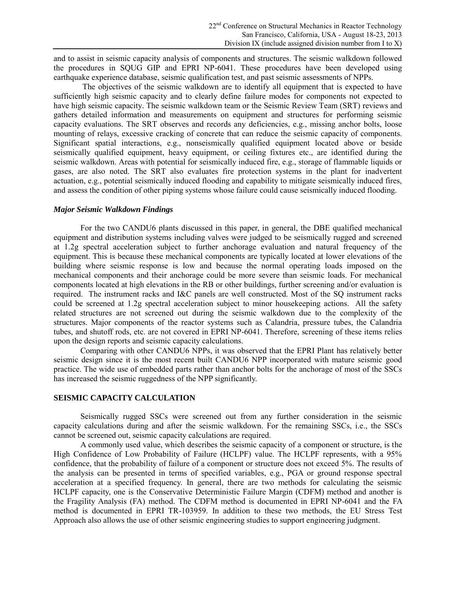and to assist in seismic capacity analysis of components and structures. The seismic walkdown followed the procedures in SQUG GIP and EPRI NP-6041. These procedures have been developed using earthquake experience database, seismic qualification test, and past seismic assessments of NPPs.

The objectives of the seismic walkdown are to identify all equipment that is expected to have sufficiently high seismic capacity and to clearly define failure modes for components not expected to have high seismic capacity. The seismic walkdown team or the Seismic Review Team (SRT) reviews and gathers detailed information and measurements on equipment and structures for performing seismic capacity evaluations. The SRT observes and records any deficiencies, e.g., missing anchor bolts, loose mounting of relays, excessive cracking of concrete that can reduce the seismic capacity of components. Significant spatial interactions, e.g., nonseismically qualified equipment located above or beside seismically qualified equipment, heavy equipment, or ceiling fixtures etc., are identified during the seismic walkdown. Areas with potential for seismically induced fire, e.g., storage of flammable liquids or gases, are also noted. The SRT also evaluates fire protection systems in the plant for inadvertent actuation, e.g., potential seismically induced flooding and capability to mitigate seismically induced fires, and assess the condition of other piping systems whose failure could cause seismically induced flooding.

#### *Major Seismic Walkdown Findings*

For the two CANDU6 plants discussed in this paper, in general, the DBE qualified mechanical equipment and distribution systems including valves were judged to be seismically rugged and screened at 1.2g spectral acceleration subject to further anchorage evaluation and natural frequency of the equipment. This is because these mechanical components are typically located at lower elevations of the building where seismic response is low and because the normal operating loads imposed on the mechanical components and their anchorage could be more severe than seismic loads. For mechanical components located at high elevations in the RB or other buildings, further screening and/or evaluation is required. The instrument racks and I&C panels are well constructed. Most of the SQ instrument racks could be screened at 1.2g spectral acceleration subject to minor housekeeping actions. All the safety related structures are not screened out during the seismic walkdown due to the complexity of the structures. Major components of the reactor systems such as Calandria, pressure tubes, the Calandria tubes, and shutoff rods, etc. are not covered in EPRI NP-6041. Therefore, screening of these items relies upon the design reports and seismic capacity calculations.

Comparing with other CANDU6 NPPs, it was observed that the EPRI Plant has relatively better seismic design since it is the most recent built CANDU6 NPP incorporated with mature seismic good practice. The wide use of embedded parts rather than anchor bolts for the anchorage of most of the SSCs has increased the seismic ruggedness of the NPP significantly.

#### **SEISMIC CAPACITY CALCULATION**

Seismically rugged SSCs were screened out from any further consideration in the seismic capacity calculations during and after the seismic walkdown. For the remaining SSCs, i.e., the SSCs cannot be screened out, seismic capacity calculations are required.

A commonly used value, which describes the seismic capacity of a component or structure, is the High Confidence of Low Probability of Failure (HCLPF) value. The HCLPF represents, with a 95% confidence, that the probability of failure of a component or structure does not exceed 5%. The results of the analysis can be presented in terms of specified variables, e.g., PGA or ground response spectral acceleration at a specified frequency. In general, there are two methods for calculating the seismic HCLPF capacity, one is the Conservative Deterministic Failure Margin (CDFM) method and another is the Fragility Analysis (FA) method. The CDFM method is documented in EPRI NP-6041 and the FA method is documented in EPRI TR-103959. In addition to these two methods, the EU Stress Test Approach also allows the use of other seismic engineering studies to support engineering judgment.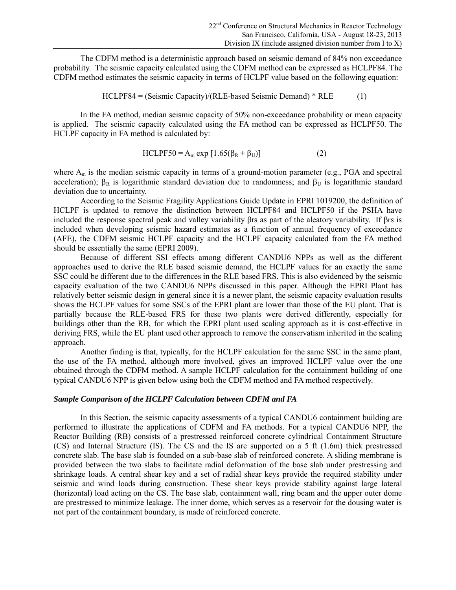The CDFM method is a deterministic approach based on seismic demand of 84% non exceedance probability. The seismic capacity calculated using the CDFM method can be expressed as HCLPF84. The CDFM method estimates the seismic capacity in terms of HCLPF value based on the following equation:

$$
HCLPF84 = (Seismic Capacity)/(RLE-based Seismic Demand)*RLE
$$
 (1)

In the FA method, median seismic capacity of 50% non-exceedance probability or mean capacity is applied. The seismic capacity calculated using the FA method can be expressed as HCLPF50. The HCLPF capacity in FA method is calculated by:

$$
HCLPF50 = Am exp [1.65( $\beta$ <sub>R</sub> +  $\beta$ <sub>U</sub>)] \t(2)
$$

where  $A_m$  is the median seismic capacity in terms of a ground-motion parameter (e.g., PGA and spectral acceleration);  $\beta_R$  is logarithmic standard deviation due to randomness; and  $\beta_U$  is logarithmic standard deviation due to uncertainty.

According to the Seismic Fragility Applications Guide Update in EPRI 1019200, the definition of HCLPF is updated to remove the distinction between HCLPF84 and HCLPF50 if the PSHA have included the response spectral peak and valley variability βrs as part of the aleatory variability. If βrs is included when developing seismic hazard estimates as a function of annual frequency of exceedance (AFE), the CDFM seismic HCLPF capacity and the HCLPF capacity calculated from the FA method should be essentially the same (EPRI 2009).

Because of different SSI effects among different CANDU6 NPPs as well as the different approaches used to derive the RLE based seismic demand, the HCLPF values for an exactly the same SSC could be different due to the differences in the RLE based FRS. This is also evidenced by the seismic capacity evaluation of the two CANDU6 NPPs discussed in this paper. Although the EPRI Plant has relatively better seismic design in general since it is a newer plant, the seismic capacity evaluation results shows the HCLPF values for some SSCs of the EPRI plant are lower than those of the EU plant. That is partially because the RLE-based FRS for these two plants were derived differently, especially for buildings other than the RB, for which the EPRI plant used scaling approach as it is cost-effective in deriving FRS, while the EU plant used other approach to remove the conservatism inherited in the scaling approach.

Another finding is that, typically, for the HCLPF calculation for the same SSC in the same plant, the use of the FA method, although more involved, gives an improved HCLPF value over the one obtained through the CDFM method. A sample HCLPF calculation for the containment building of one typical CANDU6 NPP is given below using both the CDFM method and FA method respectively.

#### *Sample Comparison of the HCLPF Calculation between CDFM and FA*

In this Section, the seismic capacity assessments of a typical CANDU6 containment building are performed to illustrate the applications of CDFM and FA methods. For a typical CANDU6 NPP, the Reactor Building (RB) consists of a prestressed reinforced concrete cylindrical Containment Structure (CS) and Internal Structure (IS). The CS and the IS are supported on a 5 ft (1.6m) thick prestressed concrete slab. The base slab is founded on a sub-base slab of reinforced concrete. A sliding membrane is provided between the two slabs to facilitate radial deformation of the base slab under prestressing and shrinkage loads. A central shear key and a set of radial shear keys provide the required stability under seismic and wind loads during construction. These shear keys provide stability against large lateral (horizontal) load acting on the CS. The base slab, containment wall, ring beam and the upper outer dome are prestressed to minimize leakage. The inner dome, which serves as a reservoir for the dousing water is not part of the containment boundary, is made of reinforced concrete.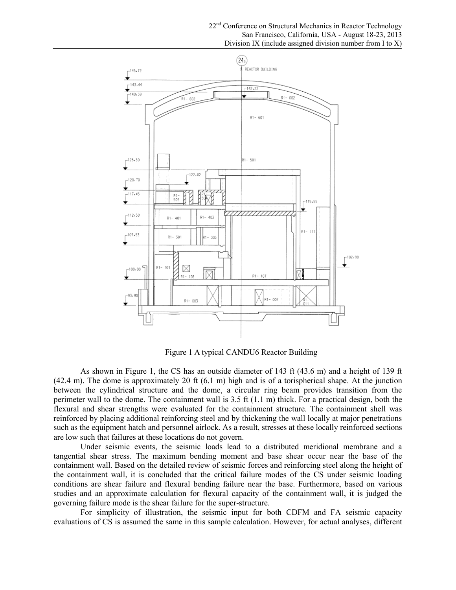

Figure 1 A typical CANDU6 Reactor Building

As shown in Figure 1, the CS has an outside diameter of 143 ft (43.6 m) and a height of 139 ft (42.4 m). The dome is approximately 20 ft (6.1 m) high and is of a torispherical shape. At the junction between the cylindrical structure and the dome, a circular ring beam provides transition from the perimeter wall to the dome. The containment wall is  $3.5 \text{ ft } (1.1 \text{ m})$  thick. For a practical design, both the flexural and shear strengths were evaluated for the containment structure. The containment shell was reinforced by placing additional reinforcing steel and by thickening the wall locally at major penetrations such as the equipment hatch and personnel airlock. As a result, stresses at these locally reinforced sections are low such that failures at these locations do not govern.

Under seismic events, the seismic loads lead to a distributed meridional membrane and a tangential shear stress. The maximum bending moment and base shear occur near the base of the containment wall. Based on the detailed review of seismic forces and reinforcing steel along the height of the containment wall, it is concluded that the critical failure modes of the CS under seismic loading conditions are shear failure and flexural bending failure near the base. Furthermore, based on various studies and an approximate calculation for flexural capacity of the containment wall, it is judged the governing failure mode is the shear failure for the super-structure.

For simplicity of illustration, the seismic input for both CDFM and FA seismic capacity evaluations of CS is assumed the same in this sample calculation. However, for actual analyses, different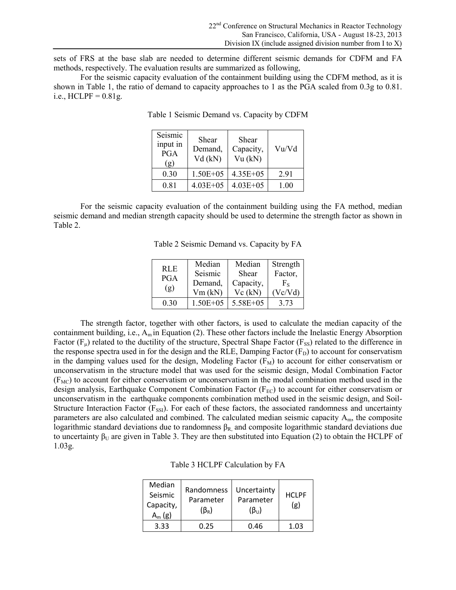sets of FRS at the base slab are needed to determine different seismic demands for CDFM and FA methods, respectively. The evaluation results are summarized as following,

For the seismic capacity evaluation of the containment building using the CDFM method, as it is shown in Table 1, the ratio of demand to capacity approaches to 1 as the PGA scaled from 0.3g to 0.81. i.e.,  $HCLPF = 0.81g$ .

| Seismic<br>input in<br><b>PGA</b><br>(g) | Shear<br>Demand,<br>$Vd$ (kN) | Shear<br>Capacity,<br>Vu (kN) | Vu/Vd |
|------------------------------------------|-------------------------------|-------------------------------|-------|
| 0.30                                     | $1.50E + 0.5$                 | $4.35E + 05$                  | 291   |
| 0.81                                     | $4.03E + 0.5$                 | $4.03E + 05$                  | 1.00  |

Table 1 Seismic Demand vs. Capacity by CDFM

For the seismic capacity evaluation of the containment building using the FA method, median seismic demand and median strength capacity should be used to determine the strength factor as shown in Table 2.

Table 2 Seismic Demand vs. Capacity by FA

| RLE.<br><b>PGA</b><br>(g) | Median        | Median       | Strength |
|---------------------------|---------------|--------------|----------|
|                           | Seismic       | Shear        | Factor,  |
|                           | Demand,       | Capacity,    | Fe       |
|                           | Vm (kN)       | Vc (kN)      | Vc/Vd    |
| 0.30                      | $1.50E + 0.5$ | $5.58E + 05$ | 3.73     |

The strength factor, together with other factors, is used to calculate the median capacity of the containment building, i.e.,  $A_m$  in Equation (2). These other factors include the Inelastic Energy Absorption Factor  $(F_u)$  related to the ductility of the structure, Spectral Shape Factor  $(F_{SS})$  related to the difference in the response spectra used in for the design and the RLE, Damping Factor  $(F_D)$  to account for conservatism in the damping values used for the design, Modeling Factor  $(F_M)$  to account for either conservatism or unconservatism in the structure model that was used for the seismic design, Modal Combination Factor  $(F<sub>MC</sub>)$  to account for either conservatism or unconservatism in the modal combination method used in the design analysis, Earthquake Component Combination Factor ( $F_{EC}$ ) to account for either conservatism or unconservatism in the earthquake components combination method used in the seismic design, and Soil-Structure Interaction Factor  $(F_{\text{SSI}})$ . For each of these factors, the associated randomness and uncertainty parameters are also calculated and combined. The calculated median seismic capacity Am, the composite logarithmic standard deviations due to randomness  $β_R$ , and composite logarithmic standard deviations due to uncertainty  $\beta_U$  are given in Table 3. They are then substituted into Equation (2) to obtain the HCLPF of 1.03g.

Table 3 HCLPF Calculation by FA

| Median<br>Seismic<br>Capacity,<br>$A_m$ (g) | Randomness<br>Parameter<br>$(\beta_{\textrm{\tiny R}})$ | Uncertainty<br>Parameter<br>$(\beta_{U})$ | <b>HCLPF</b><br>(g) |
|---------------------------------------------|---------------------------------------------------------|-------------------------------------------|---------------------|
| 3.33                                        | 0.25                                                    | 0.46                                      | 1.03                |